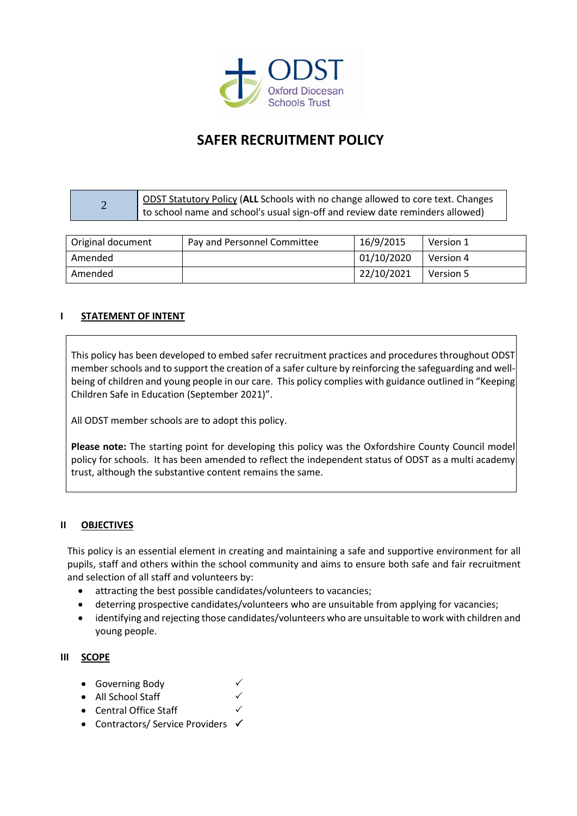

# **SAFER RECRUITMENT POLICY**

#### 2 ODST Statutory Policy (**ALL** Schools with no change allowed to core text. Changes to school name and school's usual sign-off and review date reminders allowed)

| Original document | Pay and Personnel Committee | 16/9/2015  | Version 1 |
|-------------------|-----------------------------|------------|-----------|
| Amended           |                             | 01/10/2020 | Version 4 |
| Amended           |                             | 22/10/2021 | Version 5 |

# **I STATEMENT OF INTENT**

This policy has been developed to embed safer recruitment practices and procedures throughout ODST member schools and to support the creation of a safer culture by reinforcing the safeguarding and wellbeing of children and young people in our care. This policy complies with guidance outlined in "Keeping Children Safe in Education (September 2021)".

All ODST member schools are to adopt this policy.

**Please note:** The starting point for developing this policy was the Oxfordshire County Council model policy for schools. It has been amended to reflect the independent status of ODST as a multi academy trust, although the substantive content remains the same.

#### **II OBJECTIVES**

This policy is an essential element in creating and maintaining a safe and supportive environment for all pupils, staff and others within the school community and aims to ensure both safe and fair recruitment and selection of all staff and volunteers by:

- attracting the best possible candidates/volunteers to vacancies;
- deterring prospective candidates/volunteers who are unsuitable from applying for vacancies;
- identifying and rejecting those candidates/volunteers who are unsuitable to work with children and young people.

#### **III SCOPE**

- Governing Body
- All School Staff
- Central Office Staff
- Contractors/ Service Providers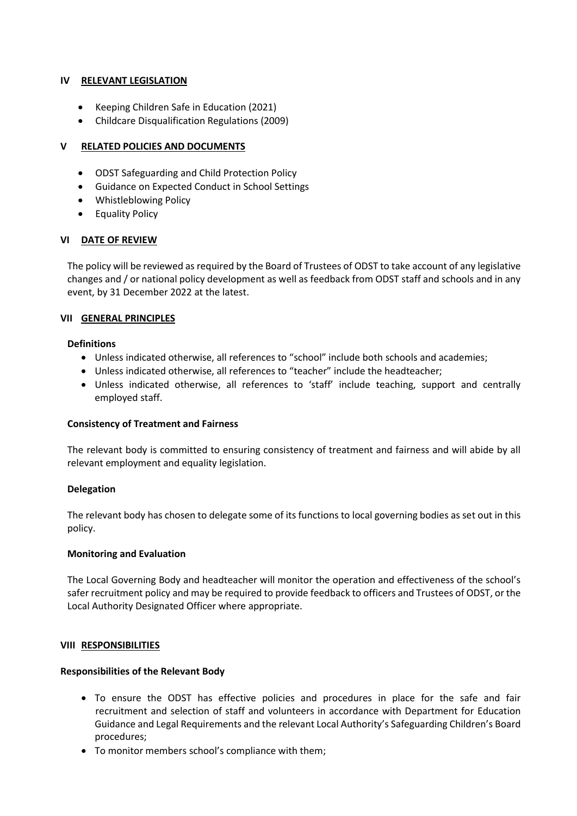# **IV RELEVANT LEGISLATION**

- Keeping Children Safe in Education (2021)
- Childcare Disqualification Regulations (2009)

#### **V RELATED POLICIES AND DOCUMENTS**

- ODST Safeguarding and Child Protection Policy
- Guidance on Expected Conduct in School Settings
- Whistleblowing Policy
- Equality Policy

#### **VI DATE OF REVIEW**

The policy will be reviewed as required by the Board of Trustees of ODST to take account of any legislative changes and / or national policy development as well as feedback from ODST staff and schools and in any event, by 31 December 2022 at the latest.

#### **VII GENERAL PRINCIPLES**

#### **Definitions**

- Unless indicated otherwise, all references to "school" include both schools and academies;
- Unless indicated otherwise, all references to "teacher" include the headteacher;
- Unless indicated otherwise, all references to 'staff' include teaching, support and centrally employed staff.

#### **Consistency of Treatment and Fairness**

The relevant body is committed to ensuring consistency of treatment and fairness and will abide by all relevant employment and equality legislation.

#### **Delegation**

The relevant body has chosen to delegate some of its functions to local governing bodies as set out in this policy.

#### **Monitoring and Evaluation**

The Local Governing Body and headteacher will monitor the operation and effectiveness of the school's safer recruitment policy and may be required to provide feedback to officers and Trustees of ODST, or the Local Authority Designated Officer where appropriate.

#### **VIII RESPONSIBILITIES**

#### **Responsibilities of the Relevant Body**

- To ensure the ODST has effective policies and procedures in place for the safe and fair recruitment and selection of staff and volunteers in accordance with Department for Education Guidance and Legal Requirements and the relevant Local Authority's Safeguarding Children's Board procedures;
- To monitor members school's compliance with them;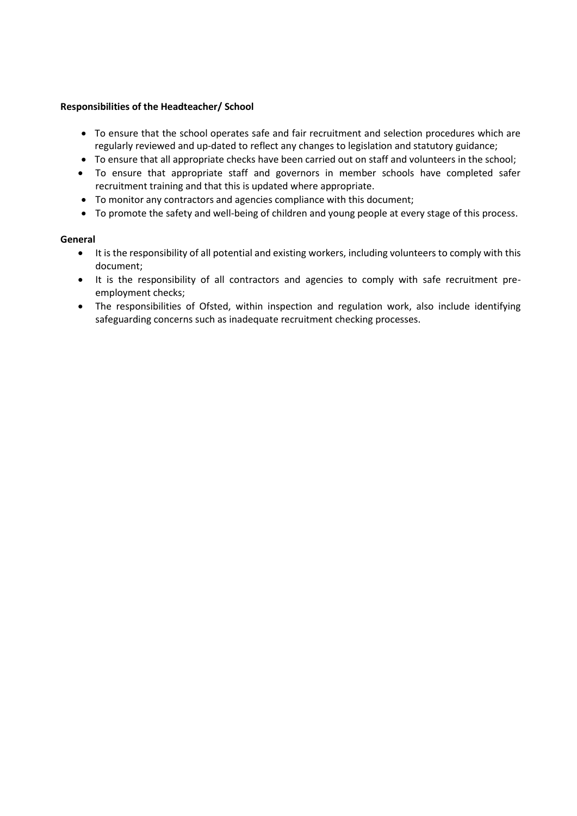#### **Responsibilities of the Headteacher/ School**

- To ensure that the school operates safe and fair recruitment and selection procedures which are regularly reviewed and up-dated to reflect any changes to legislation and statutory guidance;
- To ensure that all appropriate checks have been carried out on staff and volunteers in the school;
- To ensure that appropriate staff and governors in member schools have completed safer recruitment training and that this is updated where appropriate.
- To monitor any contractors and agencies compliance with this document;
- To promote the safety and well-being of children and young people at every stage of this process.

#### **General**

- It is the responsibility of all potential and existing workers, including volunteers to comply with this document;
- It is the responsibility of all contractors and agencies to comply with safe recruitment preemployment checks;
- The responsibilities of Ofsted, within inspection and regulation work, also include identifying safeguarding concerns such as inadequate recruitment checking processes.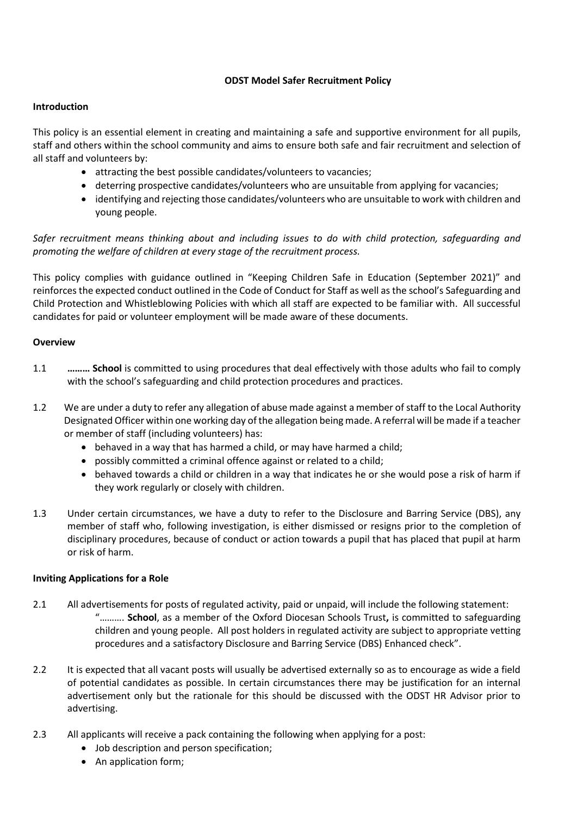# **ODST Model Safer Recruitment Policy**

#### **Introduction**

This policy is an essential element in creating and maintaining a safe and supportive environment for all pupils, staff and others within the school community and aims to ensure both safe and fair recruitment and selection of all staff and volunteers by:

- attracting the best possible candidates/volunteers to vacancies;
- deterring prospective candidates/volunteers who are unsuitable from applying for vacancies;
- identifying and rejecting those candidates/volunteers who are unsuitable to work with children and young people.

*Safer recruitment means thinking about and including issues to do with child protection, safeguarding and promoting the welfare of children at every stage of the recruitment process.* 

This policy complies with guidance outlined in "Keeping Children Safe in Education (September 2021)" and reinforces the expected conduct outlined in the Code of Conduct for Staff as well as the school's Safeguarding and Child Protection and Whistleblowing Policies with which all staff are expected to be familiar with. All successful candidates for paid or volunteer employment will be made aware of these documents.

# **Overview**

- 1.1 **……… School** is committed to using procedures that deal effectively with those adults who fail to comply with the school's safeguarding and child protection procedures and practices.
- 1.2 We are under a duty to refer any allegation of abuse made against a member of staff to the Local Authority Designated Officer within one working day of the allegation being made. A referral will be made if a teacher or member of staff (including volunteers) has:
	- behaved in a way that has harmed a child, or may have harmed a child;
	- possibly committed a criminal offence against or related to a child;
	- behaved towards a child or children in a way that indicates he or she would pose a risk of harm if they work regularly or closely with children.
- 1.3 Under certain circumstances, we have a duty to refer to the Disclosure and Barring Service (DBS), any member of staff who, following investigation, is either dismissed or resigns prior to the completion of disciplinary procedures, because of conduct or action towards a pupil that has placed that pupil at harm or risk of harm.

# **Inviting Applications for a Role**

- 2.1 All advertisements for posts of regulated activity, paid or unpaid, will include the following statement: "………. **School**, as a member of the Oxford Diocesan Schools Trust**,** is committed to safeguarding children and young people. All post holders in regulated activity are subject to appropriate vetting procedures and a satisfactory Disclosure and Barring Service (DBS) Enhanced check".
- 2.2 It is expected that all vacant posts will usually be advertised externally so as to encourage as wide a field of potential candidates as possible. In certain circumstances there may be justification for an internal advertisement only but the rationale for this should be discussed with the ODST HR Advisor prior to advertising.
- 2.3 All applicants will receive a pack containing the following when applying for a post:
	- Job description and person specification;
	- An application form;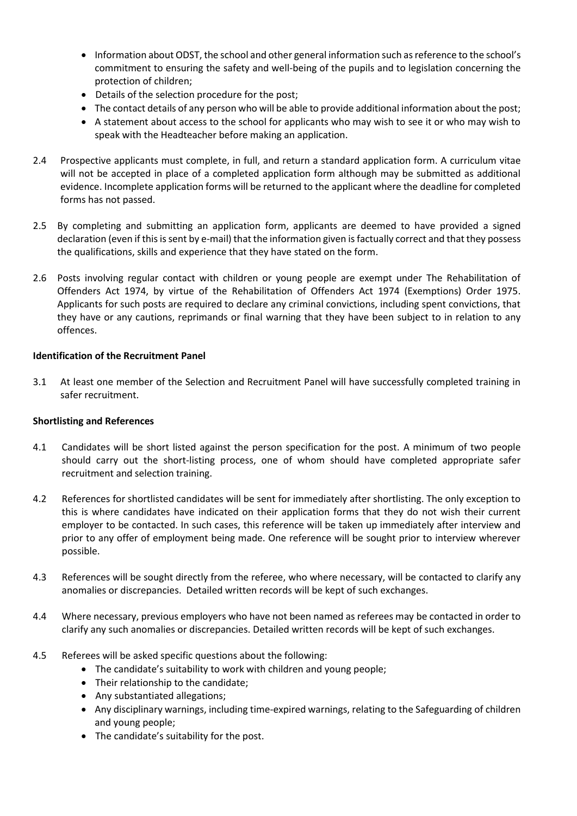- Information about ODST, the school and other general information such as reference to the school's commitment to ensuring the safety and well-being of the pupils and to legislation concerning the protection of children;
- Details of the selection procedure for the post;
- The contact details of any person who will be able to provide additional information about the post;
- A statement about access to the school for applicants who may wish to see it or who may wish to speak with the Headteacher before making an application.
- 2.4 Prospective applicants must complete, in full, and return a standard application form. A curriculum vitae will not be accepted in place of a completed application form although may be submitted as additional evidence. Incomplete application forms will be returned to the applicant where the deadline for completed forms has not passed.
- 2.5 By completing and submitting an application form, applicants are deemed to have provided a signed declaration (even if this is sent by e-mail) that the information given is factually correct and that they possess the qualifications, skills and experience that they have stated on the form.
- 2.6 Posts involving regular contact with children or young people are exempt under The Rehabilitation of Offenders Act 1974, by virtue of the Rehabilitation of Offenders Act 1974 (Exemptions) Order 1975. Applicants for such posts are required to declare any criminal convictions, including spent convictions, that they have or any cautions, reprimands or final warning that they have been subject to in relation to any offences.

# **Identification of the Recruitment Panel**

3.1 At least one member of the Selection and Recruitment Panel will have successfully completed training in safer recruitment.

#### **Shortlisting and References**

- 4.1 Candidates will be short listed against the person specification for the post. A minimum of two people should carry out the short-listing process, one of whom should have completed appropriate safer recruitment and selection training.
- 4.2 References for shortlisted candidates will be sent for immediately after shortlisting. The only exception to this is where candidates have indicated on their application forms that they do not wish their current employer to be contacted. In such cases, this reference will be taken up immediately after interview and prior to any offer of employment being made. One reference will be sought prior to interview wherever possible.
- 4.3 References will be sought directly from the referee, who where necessary, will be contacted to clarify any anomalies or discrepancies. Detailed written records will be kept of such exchanges.
- 4.4 Where necessary, previous employers who have not been named as referees may be contacted in order to clarify any such anomalies or discrepancies. Detailed written records will be kept of such exchanges.
- 4.5 Referees will be asked specific questions about the following:
	- The candidate's suitability to work with children and young people;
	- Their relationship to the candidate;
	- Any substantiated allegations;
	- Any disciplinary warnings, including time-expired warnings, relating to the Safeguarding of children and young people;
	- The candidate's suitability for the post.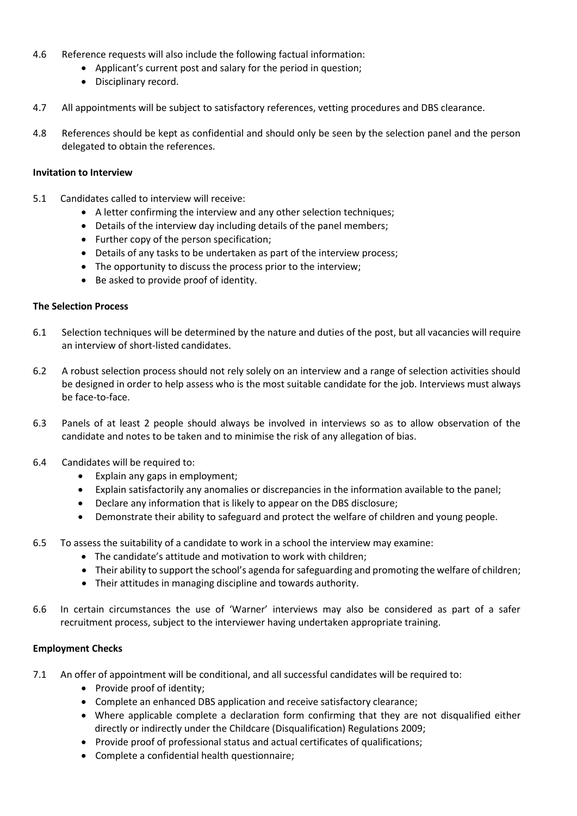- 4.6 Reference requests will also include the following factual information:
	- Applicant's current post and salary for the period in question;
	- Disciplinary record.
- 4.7 All appointments will be subject to satisfactory references, vetting procedures and DBS clearance.
- 4.8 References should be kept as confidential and should only be seen by the selection panel and the person delegated to obtain the references.

#### **Invitation to Interview**

- 5.1 Candidates called to interview will receive:
	- A letter confirming the interview and any other selection techniques;
	- Details of the interview day including details of the panel members;
	- Further copy of the person specification;
	- Details of any tasks to be undertaken as part of the interview process;
	- The opportunity to discuss the process prior to the interview;
	- Be asked to provide proof of identity.

#### **The Selection Process**

- 6.1 Selection techniques will be determined by the nature and duties of the post, but all vacancies will require an interview of short-listed candidates.
- 6.2 A robust selection process should not rely solely on an interview and a range of selection activities should be designed in order to help assess who is the most suitable candidate for the job. Interviews must always be face-to-face.
- 6.3 Panels of at least 2 people should always be involved in interviews so as to allow observation of the candidate and notes to be taken and to minimise the risk of any allegation of bias.
- 6.4 Candidates will be required to:
	- Explain any gaps in employment;
	- Explain satisfactorily any anomalies or discrepancies in the information available to the panel;
	- Declare any information that is likely to appear on the DBS disclosure;
	- Demonstrate their ability to safeguard and protect the welfare of children and young people.
- 6.5 To assess the suitability of a candidate to work in a school the interview may examine:
	- The candidate's attitude and motivation to work with children;
	- Their ability to support the school's agenda for safeguarding and promoting the welfare of children;
	- Their attitudes in managing discipline and towards authority.
- 6.6 In certain circumstances the use of 'Warner' interviews may also be considered as part of a safer recruitment process, subject to the interviewer having undertaken appropriate training.

#### **Employment Checks**

- 7.1 An offer of appointment will be conditional, and all successful candidates will be required to:
	- Provide proof of identity;
	- Complete an enhanced DBS application and receive satisfactory clearance;
	- Where applicable complete a declaration form confirming that they are not disqualified either directly or indirectly under the Childcare (Disqualification) Regulations 2009;
	- Provide proof of professional status and actual certificates of qualifications;
	- Complete a confidential health questionnaire;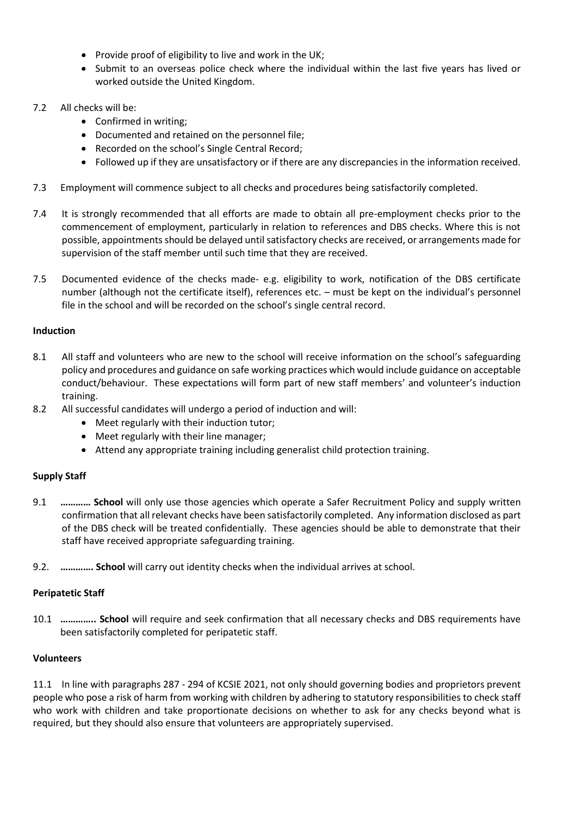- Provide proof of eligibility to live and work in the UK;
- Submit to an overseas police check where the individual within the last five years has lived or worked outside the United Kingdom.
- 7.2 All checks will be:
	- Confirmed in writing;
	- Documented and retained on the personnel file;
	- Recorded on the school's Single Central Record;
	- Followed up if they are unsatisfactory or if there are any discrepancies in the information received.
- 7.3 Employment will commence subject to all checks and procedures being satisfactorily completed.
- 7.4 It is strongly recommended that all efforts are made to obtain all pre-employment checks prior to the commencement of employment, particularly in relation to references and DBS checks. Where this is not possible, appointments should be delayed until satisfactory checks are received, or arrangements made for supervision of the staff member until such time that they are received.
- 7.5 Documented evidence of the checks made- e.g. eligibility to work, notification of the DBS certificate number (although not the certificate itself), references etc. – must be kept on the individual's personnel file in the school and will be recorded on the school's single central record.

# **Induction**

- 8.1 All staff and volunteers who are new to the school will receive information on the school's safeguarding policy and procedures and guidance on safe working practices which would include guidance on acceptable conduct/behaviour. These expectations will form part of new staff members' and volunteer's induction training.
- 8.2 All successful candidates will undergo a period of induction and will:
	- Meet regularly with their induction tutor;
	- Meet regularly with their line manager;
	- Attend any appropriate training including generalist child protection training.

#### **Supply Staff**

- 9.1 **………… School** will only use those agencies which operate a Safer Recruitment Policy and supply written confirmation that all relevant checks have been satisfactorily completed. Any information disclosed as part of the DBS check will be treated confidentially. These agencies should be able to demonstrate that their staff have received appropriate safeguarding training.
- 9.2. **…………. School** will carry out identity checks when the individual arrives at school.

# **Peripatetic Staff**

10.1 **………….. School** will require and seek confirmation that all necessary checks and DBS requirements have been satisfactorily completed for peripatetic staff.

#### **Volunteers**

11.1 In line with paragraphs 287 - 294 of KCSIE 2021, not only should governing bodies and proprietors prevent people who pose a risk of harm from working with children by adhering to statutory responsibilities to check staff who work with children and take proportionate decisions on whether to ask for any checks beyond what is required, but they should also ensure that volunteers are appropriately supervised.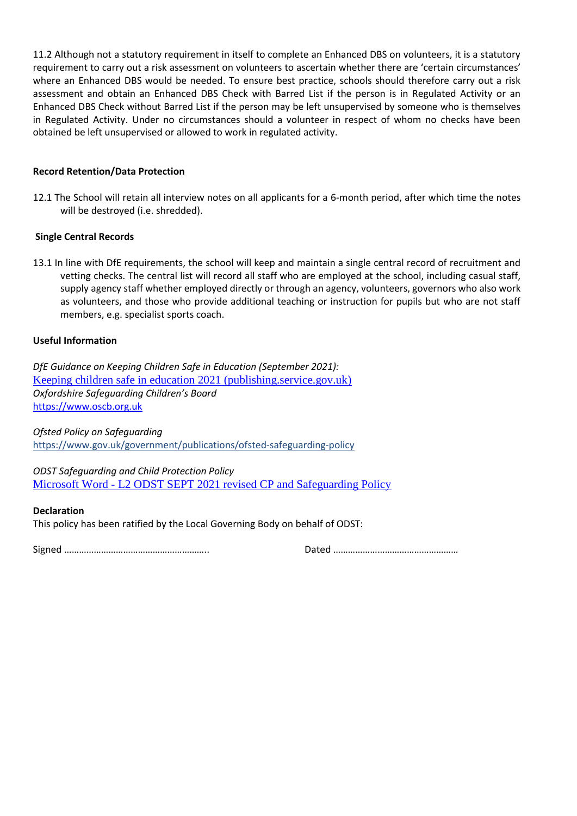11.2 Although not a statutory requirement in itself to complete an Enhanced DBS on volunteers, it is a statutory requirement to carry out a risk assessment on volunteers to ascertain whether there are 'certain circumstances' where an Enhanced DBS would be needed. To ensure best practice, schools should therefore carry out a risk assessment and obtain an Enhanced DBS Check with Barred List if the person is in Regulated Activity or an Enhanced DBS Check without Barred List if the person may be left unsupervised by someone who is themselves in Regulated Activity. Under no circumstances should a volunteer in respect of whom no checks have been obtained be left unsupervised or allowed to work in regulated activity.

# **Record Retention/Data Protection**

12.1 The School will retain all interview notes on all applicants for a 6-month period, after which time the notes will be destroyed (i.e. shredded).

# **Single Central Records**

13.1 In line with DfE requirements, the school will keep and maintain a single central record of recruitment and vetting checks. The central list will record all staff who are employed at the school, including casual staff, supply agency staff whether employed directly or through an agency, volunteers, governors who also work as volunteers, and those who provide additional teaching or instruction for pupils but who are not staff members, e.g. specialist sports coach.

# **Useful Information**

*DfE Guidance on Keeping Children Safe in Education (September 2021):* [Keeping children safe in education 2021 \(publishing.service.gov.uk\)](https://assets.publishing.service.gov.uk/government/uploads/system/uploads/attachment_data/file/1021914/KCSIE_2021_September_guidance.pdf) *Oxfordshire Safeguarding Children's Board* [https://www.oscb.org.uk](https://www.oscb.org.uk/)

*Ofsted Policy on Safeguarding* <https://www.gov.uk/government/publications/ofsted-safeguarding-policy>

*ODST Safeguarding and Child Protection Policy* Microsoft Word - [L2 ODST SEPT 2021 revised CP and Safeguarding Policy](https://www.odst.org.uk/_site/data/files/safeguarding%20docs/5E0C669FF08B032FED801CF4E485BB6A.pdf)

#### **Declaration**

This policy has been ratified by the Local Governing Body on behalf of ODST:

Signed ………………………………………………….. Dated ……………………………………………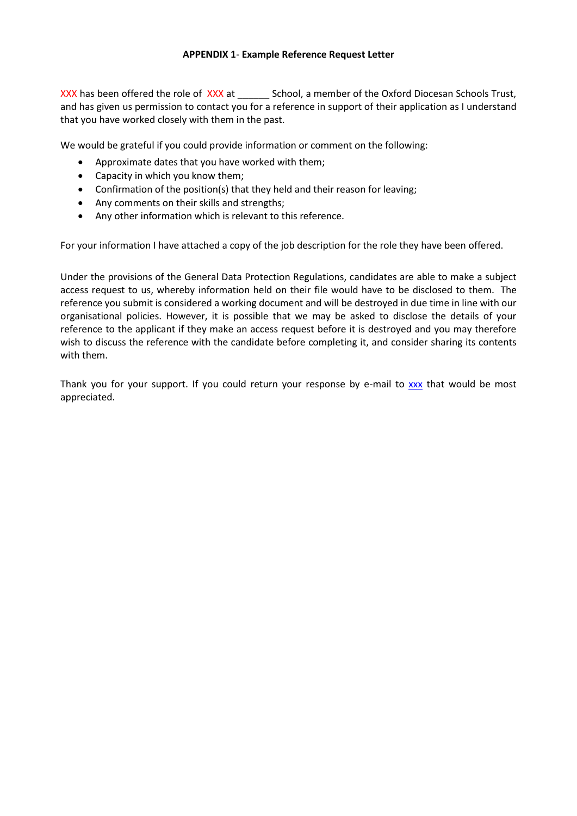# **APPENDIX 1**- **Example Reference Request Letter**

XXX has been offered the role of XXX at School, a member of the Oxford Diocesan Schools Trust, and has given us permission to contact you for a reference in support of their application as I understand that you have worked closely with them in the past.

We would be grateful if you could provide information or comment on the following:

- Approximate dates that you have worked with them;
- Capacity in which you know them;
- Confirmation of the position(s) that they held and their reason for leaving;
- Any comments on their skills and strengths;
- Any other information which is relevant to this reference.

For your information I have attached a copy of the job description for the role they have been offered.

Under the provisions of the General Data Protection Regulations, candidates are able to make a subject access request to us, whereby information held on their file would have to be disclosed to them. The reference you submit is considered a working document and will be destroyed in due time in line with our organisational policies. However, it is possible that we may be asked to disclose the details of your reference to the applicant if they make an access request before it is destroyed and you may therefore wish to discuss the reference with the candidate before completing it, and consider sharing its contents with them.

Thank you for your support. If you could return your response by e-mail to [xxx](mailto:Christine.gibbins@oxford.anglican.org) that would be most appreciated.